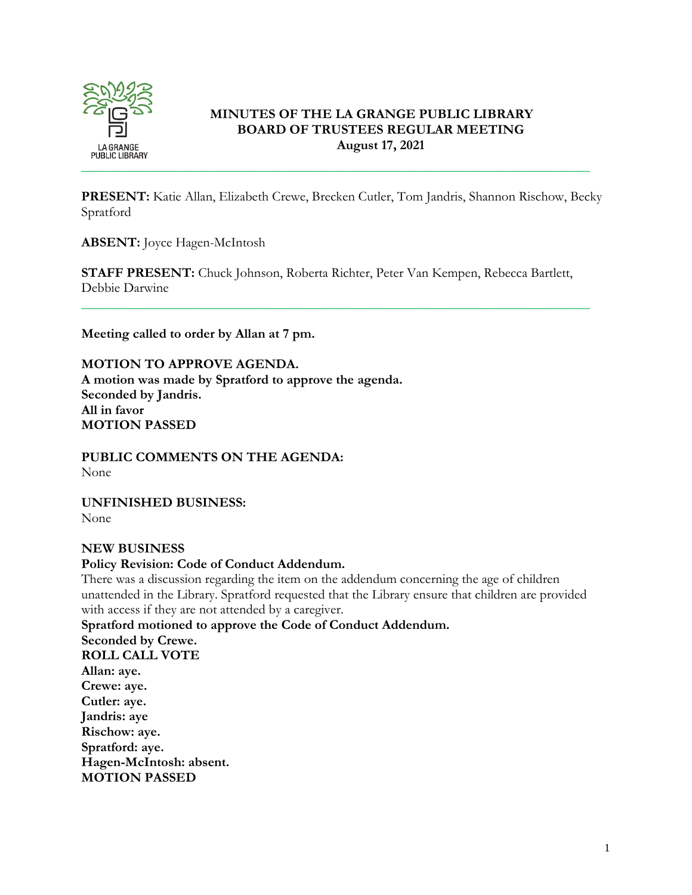

# **MINUTES OF THE LA GRANGE PUBLIC LIBRARY BOARD OF TRUSTEES REGULAR MEETING August 17, 2021**

**PRESENT:** Katie Allan, Elizabeth Crewe, Brecken Cutler, Tom Jandris, Shannon Rischow, Becky Spratford

**ABSENT:** Joyce Hagen-McIntosh

**STAFF PRESENT:** Chuck Johnson, Roberta Richter, Peter Van Kempen, Rebecca Bartlett, Debbie Darwine

\_\_\_\_\_\_\_\_\_\_\_\_\_\_\_\_\_\_\_\_\_\_\_\_\_\_\_\_\_\_\_\_\_\_\_\_\_\_\_\_\_\_\_\_\_\_\_\_\_\_\_\_\_\_\_\_\_\_\_\_\_\_\_\_\_\_\_\_\_\_\_\_\_\_\_

**Meeting called to order by Allan at 7 pm.**

**MOTION TO APPROVE AGENDA. A motion was made by Spratford to approve the agenda. Seconded by Jandris. All in favor MOTION PASSED**

**PUBLIC COMMENTS ON THE AGENDA:**  None

**UNFINISHED BUSINESS:** None

## **NEW BUSINESS**

## **Policy Revision: Code of Conduct Addendum.**

There was a discussion regarding the item on the addendum concerning the age of children unattended in the Library. Spratford requested that the Library ensure that children are provided with access if they are not attended by a caregiver.

**Spratford motioned to approve the Code of Conduct Addendum. Seconded by Crewe. ROLL CALL VOTE Allan: aye. Crewe: aye. Cutler: aye. Jandris: aye Rischow: aye. Spratford: aye. Hagen-McIntosh: absent. MOTION PASSED**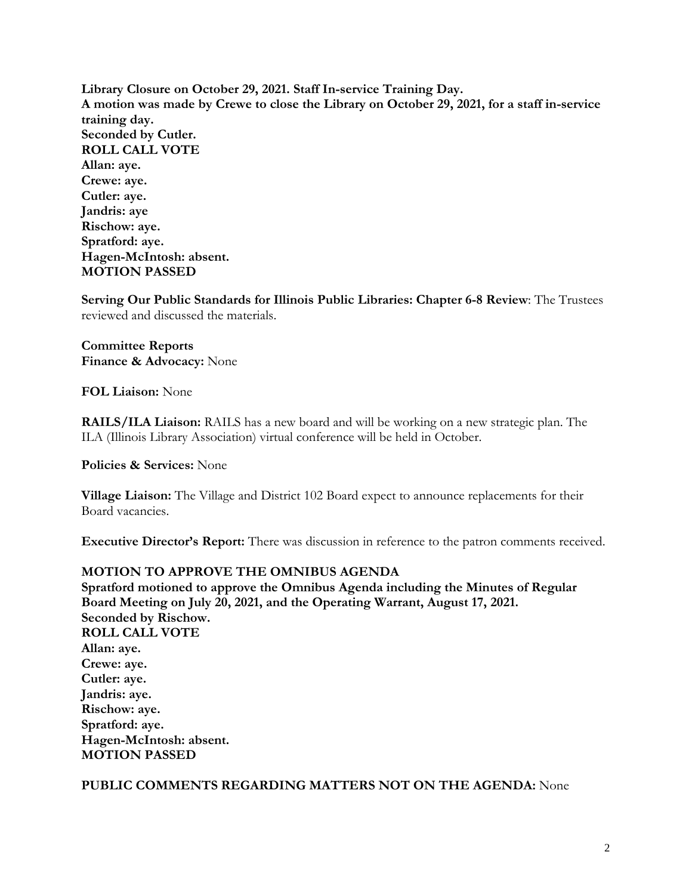**Library Closure on October 29, 2021. Staff In-service Training Day. A motion was made by Crewe to close the Library on October 29, 2021, for a staff in-service training day. Seconded by Cutler. ROLL CALL VOTE Allan: aye. Crewe: aye. Cutler: aye. Jandris: aye Rischow: aye. Spratford: aye. Hagen-McIntosh: absent. MOTION PASSED**

**Serving Our Public Standards for Illinois Public Libraries: Chapter 6-8 Review**: The Trustees reviewed and discussed the materials.

**Committee Reports Finance & Advocacy:** None

**FOL Liaison:** None

**RAILS/ILA Liaison:** RAILS has a new board and will be working on a new strategic plan. The ILA (Illinois Library Association) virtual conference will be held in October.

**Policies & Services:** None

**Village Liaison:** The Village and District 102 Board expect to announce replacements for their Board vacancies.

**Executive Director's Report:** There was discussion in reference to the patron comments received.

## **MOTION TO APPROVE THE OMNIBUS AGENDA**

**Spratford motioned to approve the Omnibus Agenda including the Minutes of Regular Board Meeting on July 20, 2021, and the Operating Warrant, August 17, 2021. Seconded by Rischow. ROLL CALL VOTE Allan: aye. Crewe: aye. Cutler: aye. Jandris: aye. Rischow: aye. Spratford: aye. Hagen-McIntosh: absent. MOTION PASSED**

#### **PUBLIC COMMENTS REGARDING MATTERS NOT ON THE AGENDA:** None